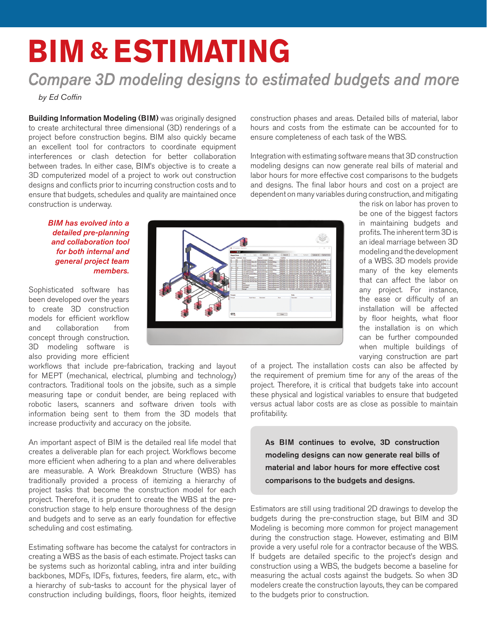## **BIM & Estimating**

## *Compare 3D modeling designs to estimated budgets and more*

*by Ed Coffin*

**Building Information Modeling (BIM)** was originally designed to create architectural three dimensional (3D) renderings of a project before construction begins. BIM also quickly became an excellent tool for contractors to coordinate equipment interferences or clash detection for better collaboration between trades. In either case, BIM's objective is to create a 3D computerized model of a project to work out construction designs and conflicts prior to incurring construction costs and to ensure that budgets, schedules and quality are maintained once construction is underway.

construction phases and areas. Detailed bills of material, labor hours and costs from the estimate can be accounted for to ensure completeness of each task of the WBS.

Integration with estimating software means that 3D construction modeling designs can now generate real bills of material and labor hours for more effective cost comparisons to the budgets and designs. The final labor hours and cost on a project are dependent on many variables during construction, and mitigating

## *BIM has evolved into a detailed pre-planning and collaboration tool for both internal and general project team members.*

Sophisticated software has been developed over the years to create 3D construction models for efficient workflow and collaboration from concept through construction. 3D modeling software is also providing more efficient

workflows that include pre-fabrication, tracking and layout for MEPT (mechanical, electrical, plumbing and technology) contractors. Traditional tools on the jobsite, such as a simple measuring tape or conduit bender, are being replaced with robotic lasers, scanners and software driven tools with information being sent to them from the 3D models that increase productivity and accuracy on the jobsite.

An important aspect of BIM is the detailed real life model that creates a deliverable plan for each project. Workflows become more efficient when adhering to a plan and where deliverables are measurable. A Work Breakdown Structure (WBS) has traditionally provided a process of itemizing a hierarchy of project tasks that become the construction model for each project. Therefore, it is prudent to create the WBS at the preconstruction stage to help ensure thoroughness of the design and budgets and to serve as an early foundation for effective scheduling and cost estimating.

Estimating software has become the catalyst for contractors in creating a WBS as the basis of each estimate. Project tasks can be systems such as horizontal cabling, intra and inter building backbones, MDFs, IDFs, fixtures, feeders, fire alarm, etc., with a hierarchy of sub-tasks to account for the physical layer of construction including buildings, floors, floor heights, itemized



the risk on labor has proven to be one of the biggest factors in maintaining budgets and profits. The inherent term 3D is an ideal marriage between 3D modeling and the development of a WBS. 3D models provide many of the key elements that can affect the labor on any project. For instance, the ease or difficulty of an installation will be affected by floor heights, what floor the installation is on which can be further compounded when multiple buildings of varying construction are part

of a project. The installation costs can also be affected by the requirement of premium time for any of the areas of the project. Therefore, it is critical that budgets take into account these physical and logistical variables to ensure that budgeted versus actual labor costs are as close as possible to maintain profitability.

As BIM continues to evolve, 3D construction modeling designs can now generate real bills of material and labor hours for more effective cost comparisons to the budgets and designs.

Estimators are still using traditional 2D drawings to develop the budgets during the pre-construction stage, but BIM and 3D Modeling is becoming more common for project management during the construction stage. However, estimating and BIM provide a very useful role for a contractor because of the WBS. If budgets are detailed specific to the project's design and construction using a WBS, the budgets become a baseline for measuring the actual costs against the budgets. So when 3D modelers create the construction layouts, they can be compared to the budgets prior to construction.